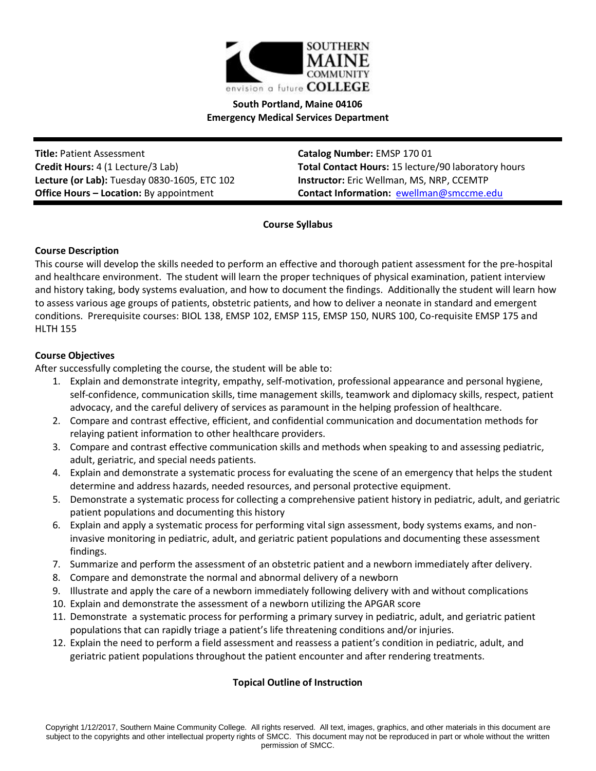

# **South Portland, Maine 04106 Emergency Medical Services Department**

**Title:** Patient Assessment **Catalog Number:** EMSP 170 01 **Lecture (or Lab):** Tuesday 0830-1605, ETC 102 **Instructor:** Eric Wellman, MS, NRP, CCEMTP

**Credit Hours:** 4 (1 Lecture/3 Lab) **Total Contact Hours:** 15 lecture/90 laboratory hours **Office Hours – Location:** By appointment **Contact Information:** [ewellman@smccme.edu](mailto:ewellman@smccme.edu)

**Course Syllabus**

## **Course Description**

This course will develop the skills needed to perform an effective and thorough patient assessment for the pre-hospital and healthcare environment. The student will learn the proper techniques of physical examination, patient interview and history taking, body systems evaluation, and how to document the findings. Additionally the student will learn how to assess various age groups of patients, obstetric patients, and how to deliver a neonate in standard and emergent conditions. Prerequisite courses: BIOL 138, EMSP 102, EMSP 115, EMSP 150, NURS 100, Co-requisite EMSP 175 and HLTH 155

## **Course Objectives**

After successfully completing the course, the student will be able to:

- 1. Explain and demonstrate integrity, empathy, self-motivation, professional appearance and personal hygiene, self-confidence, communication skills, time management skills, teamwork and diplomacy skills, respect, patient advocacy, and the careful delivery of services as paramount in the helping profession of healthcare.
- 2. Compare and contrast effective, efficient, and confidential communication and documentation methods for relaying patient information to other healthcare providers.
- 3. Compare and contrast effective communication skills and methods when speaking to and assessing pediatric, adult, geriatric, and special needs patients.
- 4. Explain and demonstrate a systematic process for evaluating the scene of an emergency that helps the student determine and address hazards, needed resources, and personal protective equipment.
- 5. Demonstrate a systematic process for collecting a comprehensive patient history in pediatric, adult, and geriatric patient populations and documenting this history
- 6. Explain and apply a systematic process for performing vital sign assessment, body systems exams, and noninvasive monitoring in pediatric, adult, and geriatric patient populations and documenting these assessment findings.
- 7. Summarize and perform the assessment of an obstetric patient and a newborn immediately after delivery.
- 8. Compare and demonstrate the normal and abnormal delivery of a newborn
- 9. Illustrate and apply the care of a newborn immediately following delivery with and without complications
- 10. Explain and demonstrate the assessment of a newborn utilizing the APGAR score
- 11. Demonstrate a systematic process for performing a primary survey in pediatric, adult, and geriatric patient populations that can rapidly triage a patient's life threatening conditions and/or injuries.
- 12. Explain the need to perform a field assessment and reassess a patient's condition in pediatric, adult, and geriatric patient populations throughout the patient encounter and after rendering treatments.

# **Topical Outline of Instruction**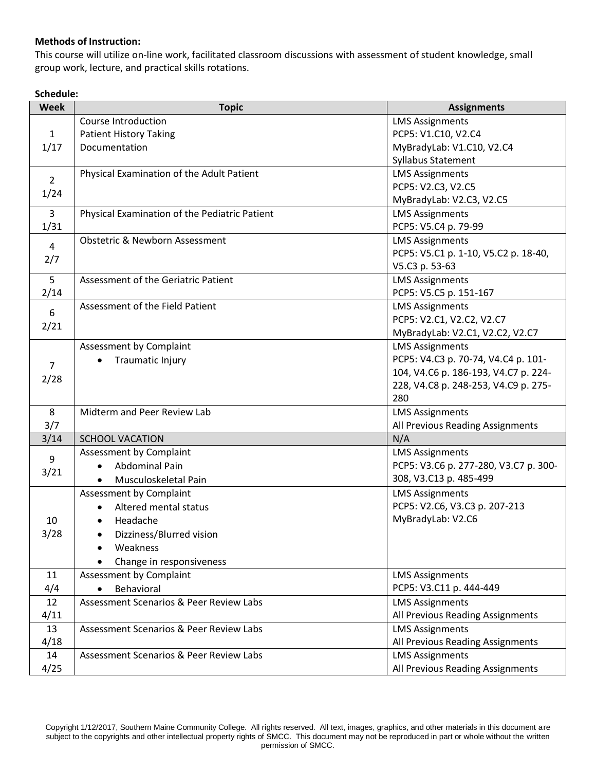# **Methods of Instruction:**

This course will utilize on-line work, facilitated classroom discussions with assessment of student knowledge, small group work, lecture, and practical skills rotations.

## **Schedule:**

| <b>Week</b>    | <b>Topic</b>                                       | <b>Assignments</b>                    |
|----------------|----------------------------------------------------|---------------------------------------|
|                | Course Introduction                                | <b>LMS Assignments</b>                |
| $\mathbf{1}$   | <b>Patient History Taking</b>                      | PCP5: V1.C10, V2.C4                   |
| 1/17           | Documentation                                      | MyBradyLab: V1.C10, V2.C4             |
|                |                                                    | Syllabus Statement                    |
| $\overline{2}$ | Physical Examination of the Adult Patient          | <b>LMS Assignments</b>                |
| 1/24           |                                                    | PCP5: V2.C3, V2.C5                    |
|                |                                                    | MyBradyLab: V2.C3, V2.C5              |
| $\overline{3}$ | Physical Examination of the Pediatric Patient      | <b>LMS Assignments</b>                |
| 1/31           |                                                    | PCP5: V5.C4 p. 79-99                  |
| $\overline{4}$ | <b>Obstetric &amp; Newborn Assessment</b>          | <b>LMS Assignments</b>                |
| 2/7            |                                                    | PCP5: V5.C1 p. 1-10, V5.C2 p. 18-40,  |
|                |                                                    | V5.C3 p. 53-63                        |
| 5              | Assessment of the Geriatric Patient                | <b>LMS Assignments</b>                |
| 2/14           |                                                    | PCP5: V5.C5 p. 151-167                |
| 6              | Assessment of the Field Patient                    | <b>LMS Assignments</b>                |
| 2/21           |                                                    | PCP5: V2.C1, V2.C2, V2.C7             |
|                |                                                    | MyBradyLab: V2.C1, V2.C2, V2.C7       |
|                | Assessment by Complaint                            | <b>LMS Assignments</b>                |
| $\overline{7}$ | Traumatic Injury                                   | PCP5: V4.C3 p. 70-74, V4.C4 p. 101-   |
| 2/28           |                                                    | 104, V4.C6 p. 186-193, V4.C7 p. 224-  |
|                |                                                    | 228, V4.C8 p. 248-253, V4.C9 p. 275-  |
|                |                                                    | 280                                   |
| 8              | Midterm and Peer Review Lab                        | <b>LMS Assignments</b>                |
| 3/7            |                                                    | All Previous Reading Assignments      |
| 3/14           | <b>SCHOOL VACATION</b>                             | N/A                                   |
| 9              | Assessment by Complaint                            | <b>LMS Assignments</b>                |
| 3/21           | <b>Abdominal Pain</b>                              | PCP5: V3.C6 p. 277-280, V3.C7 p. 300- |
|                | Musculoskeletal Pain                               | 308, V3.C13 p. 485-499                |
|                | Assessment by Complaint                            | <b>LMS Assignments</b>                |
|                | Altered mental status                              | PCP5: V2.C6, V3.C3 p. 207-213         |
| 10             | Headache                                           | MyBradyLab: V2.C6                     |
| 3/28           | Dizziness/Blurred vision                           |                                       |
|                | Weakness                                           |                                       |
|                | Change in responsiveness                           |                                       |
| 11             | Assessment by Complaint                            | <b>LMS Assignments</b>                |
| 4/4            | Behavioral<br>$\bullet$                            | PCP5: V3.C11 p. 444-449               |
| 12             | Assessment Scenarios & Peer Review Labs            | <b>LMS Assignments</b>                |
| 4/11           |                                                    | All Previous Reading Assignments      |
| 13             | <b>Assessment Scenarios &amp; Peer Review Labs</b> | <b>LMS Assignments</b>                |
| 4/18           |                                                    | All Previous Reading Assignments      |
| 14             | Assessment Scenarios & Peer Review Labs            | <b>LMS Assignments</b>                |
| 4/25           |                                                    | All Previous Reading Assignments      |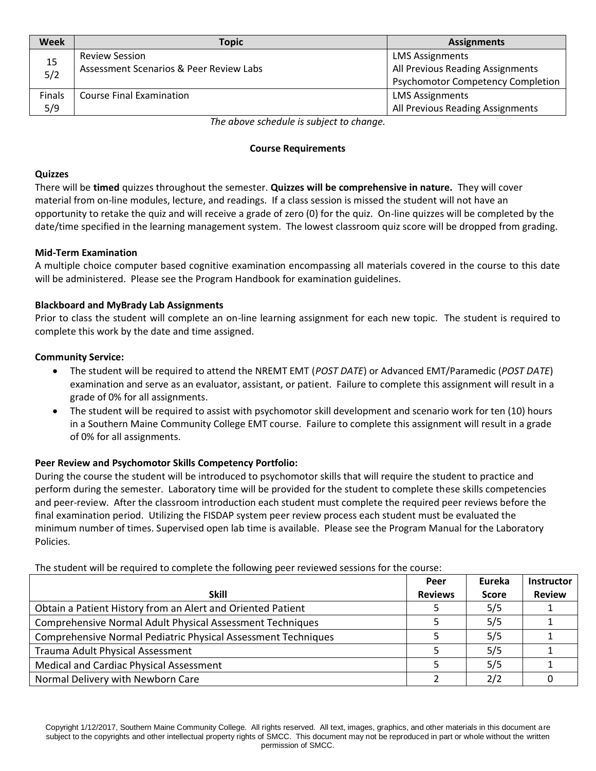| Week          | <b>Topic</b>                            | <b>Assignments</b>                       |
|---------------|-----------------------------------------|------------------------------------------|
|               | <b>Review Session</b>                   | <b>LMS Assignments</b>                   |
| 15<br>5/2     | Assessment Scenarios & Peer Review Labs | All Previous Reading Assignments         |
|               |                                         | <b>Psychomotor Competency Completion</b> |
| <b>Finals</b> | <b>Course Final Examination</b>         | <b>LMS Assignments</b>                   |
| 5/9           |                                         | All Previous Reading Assignments         |

*The above schedule is subject to change.*

### **Course Requirements**

### **Quizzes**

There will be **timed** quizzes throughout the semester. **Quizzes will be comprehensive in nature.** They will cover material from on-line modules, lecture, and readings. If a class session is missed the student will not have an opportunity to retake the quiz and will receive a grade of zero (0) for the quiz. On-line quizzes will be completed by the date/time specified in the learning management system. The lowest classroom quiz score will be dropped from grading.

### **Mid-Term Examination**

A multiple choice computer based cognitive examination encompassing all materials covered in the course to this date will be administered. Please see the Program Handbook for examination guidelines.

### **Blackboard and MyBrady Lab Assignments**

Prior to class the student will complete an on-line learning assignment for each new topic. The student is required to complete this work by the date and time assigned.

#### **Community Service:**

- The student will be required to attend the NREMT EMT (*POST DATE*) or Advanced EMT/Paramedic (*POST DATE*) examination and serve as an evaluator, assistant, or patient. Failure to complete this assignment will result in a grade of 0% for all assignments.
- The student will be required to assist with psychomotor skill development and scenario work for ten (10) hours in a Southern Maine Community College EMT course. Failure to complete this assignment will result in a grade of 0% for all assignments.

### **Peer Review and Psychomotor Skills Competency Portfolio:**

During the course the student will be introduced to psychomotor skills that will require the student to practice and perform during the semester. Laboratory time will be provided for the student to complete these skills competencies and peer-review. After the classroom introduction each student must complete the required peer reviews before the final examination period. Utilizing the FISDAP system peer review process each student must be evaluated the minimum number of times. Supervised open lab time is available. Please see the Program Manual for the Laboratory Policies.

| The statent will be regarded to complete the following peer reviewed sessions for the course. |                |              |                   |  |
|-----------------------------------------------------------------------------------------------|----------------|--------------|-------------------|--|
|                                                                                               | Peer           | Eureka       | <b>Instructor</b> |  |
| <b>Skill</b>                                                                                  | <b>Reviews</b> | <b>Score</b> | <b>Review</b>     |  |
| Obtain a Patient History from an Alert and Oriented Patient                                   |                | 5/5          |                   |  |
| Comprehensive Normal Adult Physical Assessment Techniques                                     |                | 5/5          |                   |  |
| Comprehensive Normal Pediatric Physical Assessment Techniques                                 |                | 5/5          |                   |  |
| Trauma Adult Physical Assessment                                                              |                | 5/5          |                   |  |
| <b>Medical and Cardiac Physical Assessment</b>                                                |                | 5/5          |                   |  |
| Normal Delivery with Newborn Care                                                             |                | 2/2          |                   |  |

The student will be required to complete the following peer reviewed sessions for the course: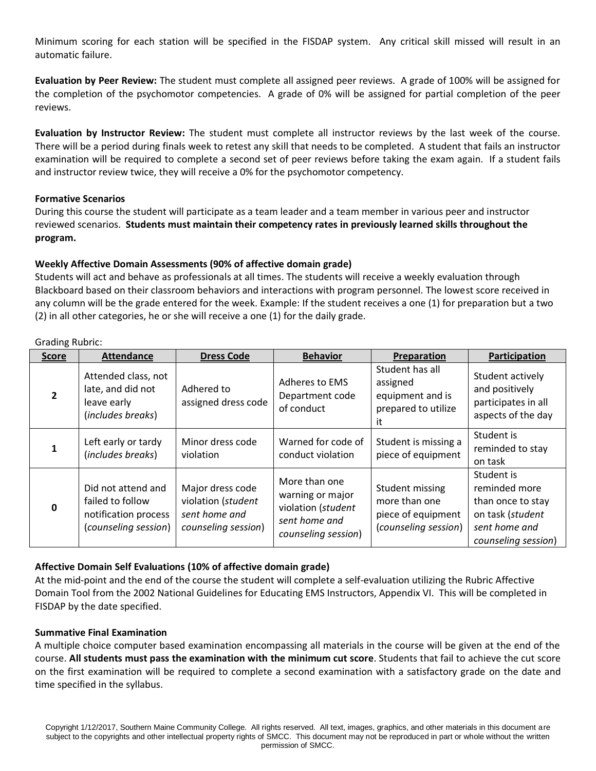Minimum scoring for each station will be specified in the FISDAP system. Any critical skill missed will result in an automatic failure.

**Evaluation by Peer Review:** The student must complete all assigned peer reviews. A grade of 100% will be assigned for the completion of the psychomotor competencies. A grade of 0% will be assigned for partial completion of the peer reviews.

**Evaluation by Instructor Review:** The student must complete all instructor reviews by the last week of the course. There will be a period during finals week to retest any skill that needs to be completed. A student that fails an instructor examination will be required to complete a second set of peer reviews before taking the exam again. If a student fails and instructor review twice, they will receive a 0% for the psychomotor competency.

## **Formative Scenarios**

During this course the student will participate as a team leader and a team member in various peer and instructor reviewed scenarios. **Students must maintain their competency rates in previously learned skills throughout the program.**

# **Weekly Affective Domain Assessments (90% of affective domain grade)**

Students will act and behave as professionals at all times. The students will receive a weekly evaluation through Blackboard based on their classroom behaviors and interactions with program personnel. The lowest score received in any column will be the grade entered for the week. Example: If the student receives a one (1) for preparation but a two (2) in all other categories, he or she will receive a one (1) for the daily grade.

| <b>Score</b>   | <b>Attendance</b>                                                                      | <b>Dress Code</b>                                                              | <b>Behavior</b>                                                                                 | Preparation                                                                    | Participation                                                                                                |
|----------------|----------------------------------------------------------------------------------------|--------------------------------------------------------------------------------|-------------------------------------------------------------------------------------------------|--------------------------------------------------------------------------------|--------------------------------------------------------------------------------------------------------------|
| $\overline{2}$ | Attended class, not<br>late, and did not<br>leave early<br>(includes breaks)           | Adhered to<br>assigned dress code                                              | Adheres to EMS<br>Department code<br>of conduct                                                 | Student has all<br>assigned<br>equipment and is<br>prepared to utilize<br>it   | Student actively<br>and positively<br>participates in all<br>aspects of the day                              |
|                | Left early or tardy<br>(includes breaks)                                               | Minor dress code<br>violation                                                  | Warned for code of<br>conduct violation                                                         | Student is missing a<br>piece of equipment                                     | Student is<br>reminded to stay<br>on task                                                                    |
| O              | Did not attend and<br>failed to follow<br>notification process<br>(counseling session) | Major dress code<br>violation (student<br>sent home and<br>counseling session) | More than one<br>warning or major<br>violation (student<br>sent home and<br>counseling session) | Student missing<br>more than one<br>piece of equipment<br>(counseling session) | Student is<br>reminded more<br>than once to stay<br>on task (student<br>sent home and<br>counseling session) |

Grading Rubric:

# **Affective Domain Self Evaluations (10% of affective domain grade)**

At the mid-point and the end of the course the student will complete a self-evaluation utilizing the Rubric Affective Domain Tool from the 2002 National Guidelines for Educating EMS Instructors, Appendix VI. This will be completed in FISDAP by the date specified.

### **Summative Final Examination**

A multiple choice computer based examination encompassing all materials in the course will be given at the end of the course. **All students must pass the examination with the minimum cut score**. Students that fail to achieve the cut score on the first examination will be required to complete a second examination with a satisfactory grade on the date and time specified in the syllabus.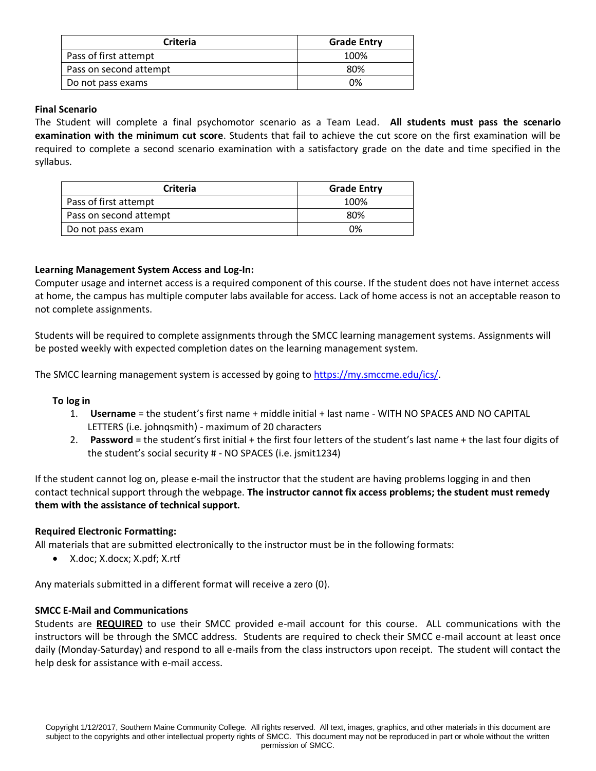| Criteria               | <b>Grade Entry</b> |
|------------------------|--------------------|
| Pass of first attempt  | 100%               |
| Pass on second attempt | 80%                |
| Do not pass exams      | 0%                 |

## **Final Scenario**

The Student will complete a final psychomotor scenario as a Team Lead. **All students must pass the scenario examination with the minimum cut score**. Students that fail to achieve the cut score on the first examination will be required to complete a second scenario examination with a satisfactory grade on the date and time specified in the syllabus.

| <b>Criteria</b>        | <b>Grade Entry</b> |
|------------------------|--------------------|
| Pass of first attempt  | 100%               |
| Pass on second attempt | 80%                |
| Do not pass exam       | 0%                 |

## **Learning Management System Access and Log-In:**

Computer usage and internet access is a required component of this course. If the student does not have internet access at home, the campus has multiple computer labs available for access. Lack of home access is not an acceptable reason to not complete assignments.

Students will be required to complete assignments through the SMCC learning management systems. Assignments will be posted weekly with expected completion dates on the learning management system.

The SMCC learning management system is accessed by going to [https://my.smccme.edu/ics/.](https://my.smccme.edu/ics/)

### **To log in**

- 1. **Username** = the student's first name + middle initial + last name WITH NO SPACES AND NO CAPITAL LETTERS (i.e. johnqsmith) - maximum of 20 characters
- 2. **Password** = the student's first initial + the first four letters of the student's last name + the last four digits of the student's social security # - NO SPACES (i.e. jsmit1234)

If the student cannot log on, please e-mail the instructor that the student are having problems logging in and then contact technical support through the webpage. **The instructor cannot fix access problems; the student must remedy them with the assistance of technical support.**

### **Required Electronic Formatting:**

All materials that are submitted electronically to the instructor must be in the following formats:

• X.doc; X.docx; X.pdf; X.rtf

Any materials submitted in a different format will receive a zero (0).

### **SMCC E-Mail and Communications**

Students are **REQUIRED** to use their SMCC provided e-mail account for this course. ALL communications with the instructors will be through the SMCC address. Students are required to check their SMCC e-mail account at least once daily (Monday-Saturday) and respond to all e-mails from the class instructors upon receipt. The student will contact the help desk for assistance with e-mail access.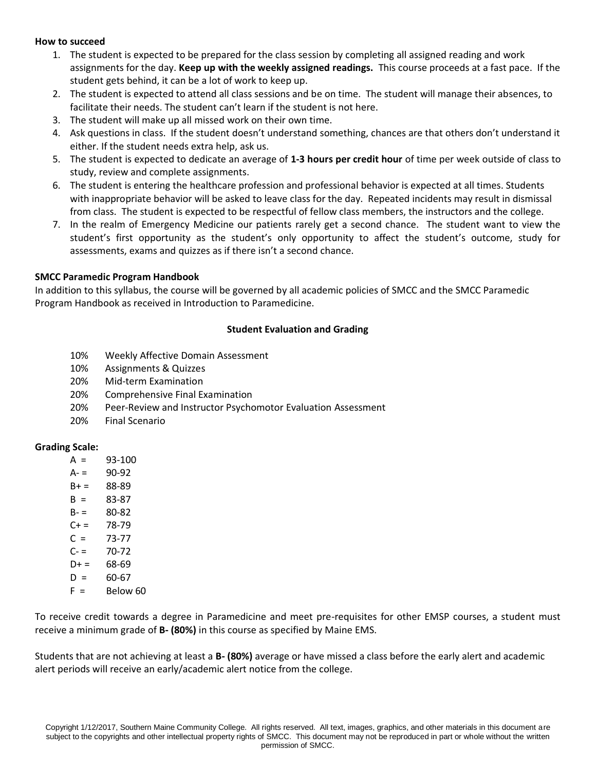#### **How to succeed**

- 1. The student is expected to be prepared for the class session by completing all assigned reading and work assignments for the day. **Keep up with the weekly assigned readings.** This course proceeds at a fast pace. If the student gets behind, it can be a lot of work to keep up.
- 2. The student is expected to attend all class sessions and be on time. The student will manage their absences, to facilitate their needs. The student can't learn if the student is not here.
- 3. The student will make up all missed work on their own time.
- 4. Ask questions in class. If the student doesn't understand something, chances are that others don't understand it either. If the student needs extra help, ask us.
- 5. The student is expected to dedicate an average of **1-3 hours per credit hour** of time per week outside of class to study, review and complete assignments.
- 6. The student is entering the healthcare profession and professional behavior is expected at all times. Students with inappropriate behavior will be asked to leave class for the day. Repeated incidents may result in dismissal from class. The student is expected to be respectful of fellow class members, the instructors and the college.
- 7. In the realm of Emergency Medicine our patients rarely get a second chance. The student want to view the student's first opportunity as the student's only opportunity to affect the student's outcome, study for assessments, exams and quizzes as if there isn't a second chance.

#### **SMCC Paramedic Program Handbook**

In addition to this syllabus, the course will be governed by all academic policies of SMCC and the SMCC Paramedic Program Handbook as received in Introduction to Paramedicine.

#### **Student Evaluation and Grading**

- 10% Weekly Affective Domain Assessment
- 10% Assignments & Quizzes
- 20% Mid-term Examination
- 20% Comprehensive Final Examination
- 20% Peer-Review and Instructor Psychomotor Evaluation Assessment
- 20% Final Scenario

### **Grading Scale:**

- $A = 93-100$
- $A = 90-92$
- $B + = 88-89$
- $B = 83-87$
- $B = 80 82$
- $C+= 78-79$
- $C = 73-77$
- $C = 70-72$
- $D+ = 68-69$
- $D = 60-67$
- $F =$ Below 60

To receive credit towards a degree in Paramedicine and meet pre-requisites for other EMSP courses, a student must receive a minimum grade of **B- (80%)** in this course as specified by Maine EMS.

Students that are not achieving at least a **B- (80%)** average or have missed a class before the early alert and academic alert periods will receive an early/academic alert notice from the college.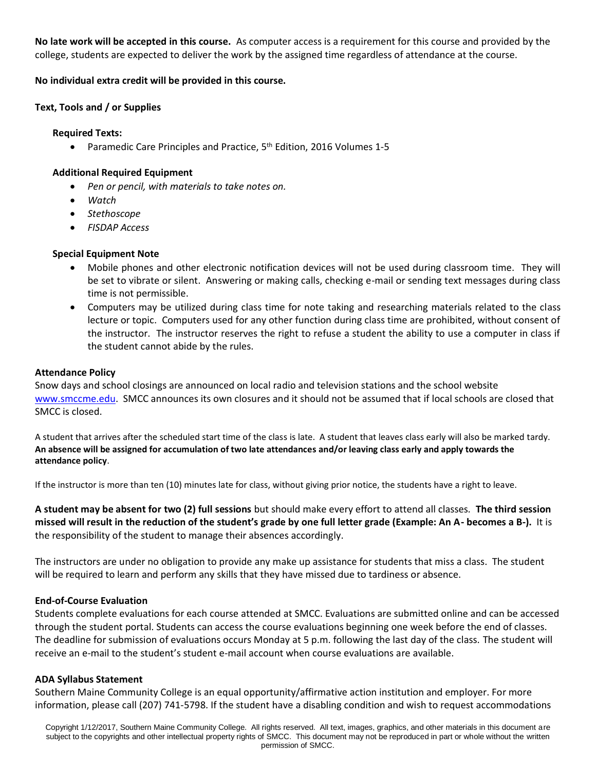**No late work will be accepted in this course.** As computer access is a requirement for this course and provided by the college, students are expected to deliver the work by the assigned time regardless of attendance at the course.

## **No individual extra credit will be provided in this course.**

## **Text, Tools and / or Supplies**

### **Required Texts:**

• Paramedic Care Principles and Practice, 5<sup>th</sup> Edition, 2016 Volumes 1-5

## **Additional Required Equipment**

- *Pen or pencil, with materials to take notes on.*
- *Watch*
- *Stethoscope*
- *FISDAP Access*

## **Special Equipment Note**

- Mobile phones and other electronic notification devices will not be used during classroom time. They will be set to vibrate or silent. Answering or making calls, checking e-mail or sending text messages during class time is not permissible.
- Computers may be utilized during class time for note taking and researching materials related to the class lecture or topic. Computers used for any other function during class time are prohibited, without consent of the instructor. The instructor reserves the right to refuse a student the ability to use a computer in class if the student cannot abide by the rules.

## **Attendance Policy**

Snow days and school closings are announced on local radio and television stations and the school website [www.smccme.edu.](http://www.smccme.edu/) SMCC announces its own closures and it should not be assumed that if local schools are closed that SMCC is closed.

A student that arrives after the scheduled start time of the class is late. A student that leaves class early will also be marked tardy. **An absence will be assigned for accumulation of two late attendances and/or leaving class early and apply towards the attendance policy**.

If the instructor is more than ten (10) minutes late for class, without giving prior notice, the students have a right to leave.

**A student may be absent for two (2) full sessions** but should make every effort to attend all classes*.* **The third session missed will result in the reduction of the student's grade by one full letter grade (Example: An A- becomes a B-).** It is the responsibility of the student to manage their absences accordingly.

The instructors are under no obligation to provide any make up assistance for students that miss a class. The student will be required to learn and perform any skills that they have missed due to tardiness or absence.

# **End-of-Course Evaluation**

Students complete evaluations for each course attended at SMCC. Evaluations are submitted online and can be accessed through the student portal. Students can access the course evaluations beginning one week before the end of classes. The deadline for submission of evaluations occurs Monday at 5 p.m. following the last day of the class. The student will receive an e-mail to the student's student e-mail account when course evaluations are available.

# **ADA Syllabus Statement**

Southern Maine Community College is an equal opportunity/affirmative action institution and employer. For more information, please call (207) 741-5798. If the student have a disabling condition and wish to request accommodations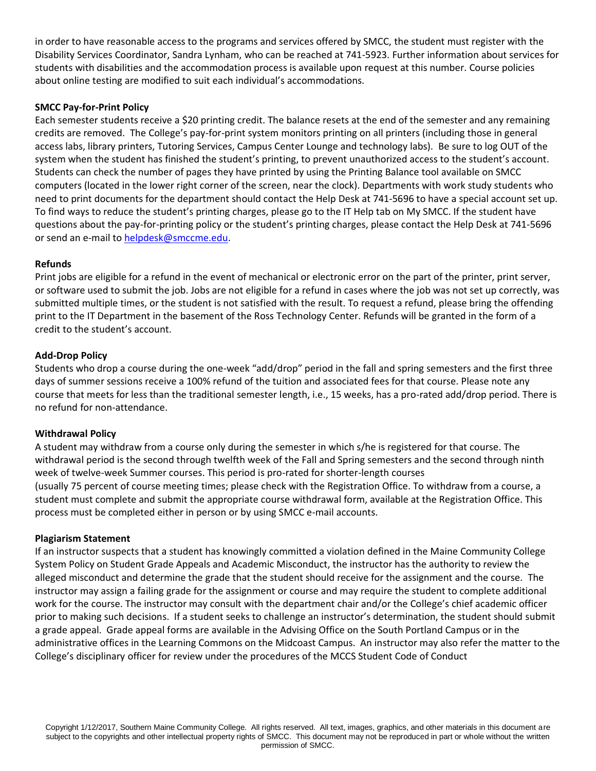in order to have reasonable access to the programs and services offered by SMCC, the student must register with the Disability Services Coordinator, Sandra Lynham, who can be reached at 741-5923. Further information about services for students with disabilities and the accommodation process is available upon request at this number. Course policies about online testing are modified to suit each individual's accommodations.

## **SMCC Pay-for-Print Policy**

Each semester students receive a \$20 printing credit. The balance resets at the end of the semester and any remaining credits are removed. The College's pay-for-print system monitors printing on all printers (including those in general access labs, library printers, Tutoring Services, Campus Center Lounge and technology labs). Be sure to log OUT of the system when the student has finished the student's printing, to prevent unauthorized access to the student's account. Students can check the number of pages they have printed by using the Printing Balance tool available on SMCC computers (located in the lower right corner of the screen, near the clock). Departments with work study students who need to print documents for the department should contact the Help Desk at 741-5696 to have a special account set up. To find ways to reduce the student's printing charges, please go to the IT Help tab on My SMCC. If the student have questions about the pay-for-printing policy or the student's printing charges, please contact the Help Desk at 741-5696 or send an e-mail to [helpdesk@smccme.edu.](mailto:helpdesk@smccme.edu)

## **Refunds**

Print jobs are eligible for a refund in the event of mechanical or electronic error on the part of the printer, print server, or software used to submit the job. Jobs are not eligible for a refund in cases where the job was not set up correctly, was submitted multiple times, or the student is not satisfied with the result. To request a refund, please bring the offending print to the IT Department in the basement of the Ross Technology Center. Refunds will be granted in the form of a credit to the student's account.

## **Add-Drop Policy**

Students who drop a course during the one-week "add/drop" period in the fall and spring semesters and the first three days of summer sessions receive a 100% refund of the tuition and associated fees for that course. Please note any course that meets for less than the traditional semester length, i.e., 15 weeks, has a pro-rated add/drop period. There is no refund for non-attendance.

### **Withdrawal Policy**

A student may withdraw from a course only during the semester in which s/he is registered for that course. The withdrawal period is the second through twelfth week of the Fall and Spring semesters and the second through ninth week of twelve-week Summer courses. This period is pro-rated for shorter-length courses (usually 75 percent of course meeting times; please check with the Registration Office. To withdraw from a course, a student must complete and submit the appropriate course withdrawal form, available at the Registration Office. This process must be completed either in person or by using SMCC e-mail accounts.

### **Plagiarism Statement**

If an instructor suspects that a student has knowingly committed a violation defined in the Maine Community College System Policy on Student Grade Appeals and Academic Misconduct, the instructor has the authority to review the alleged misconduct and determine the grade that the student should receive for the assignment and the course. The instructor may assign a failing grade for the assignment or course and may require the student to complete additional work for the course. The instructor may consult with the department chair and/or the College's chief academic officer prior to making such decisions. If a student seeks to challenge an instructor's determination, the student should submit a grade appeal. Grade appeal forms are available in the Advising Office on the South Portland Campus or in the administrative offices in the Learning Commons on the Midcoast Campus. An instructor may also refer the matter to the College's disciplinary officer for review under the procedures of the MCCS Student Code of Conduct